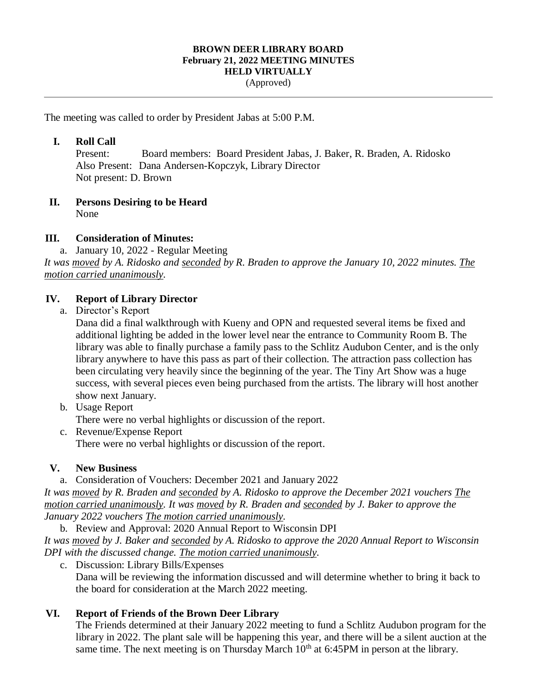#### **BROWN DEER LIBRARY BOARD February 21, 2022 MEETING MINUTES HELD VIRTUALLY** (Approved)

The meeting was called to order by President Jabas at 5:00 P.M.

#### **I. Roll Call**

Present: Board members: Board President Jabas, J. Baker, R. Braden, A. Ridosko Also Present: Dana Andersen-Kopczyk, Library Director Not present: D. Brown

# **II. Persons Desiring to be Heard**

None

#### **III. Consideration of Minutes:**

a. January 10, 2022 - Regular Meeting

*It was moved by A. Ridosko and seconded by R. Braden to approve the January 10, 2022 minutes. The motion carried unanimously.* 

#### **IV. Report of Library Director**

a. Director's Report

Dana did a final walkthrough with Kueny and OPN and requested several items be fixed and additional lighting be added in the lower level near the entrance to Community Room B. The library was able to finally purchase a family pass to the Schlitz Audubon Center, and is the only library anywhere to have this pass as part of their collection. The attraction pass collection has been circulating very heavily since the beginning of the year. The Tiny Art Show was a huge success, with several pieces even being purchased from the artists. The library will host another show next January.

b. Usage Report

There were no verbal highlights or discussion of the report.

c. Revenue/Expense Report There were no verbal highlights or discussion of the report.

#### **V. New Business**

a. Consideration of Vouchers: December 2021 and January 2022

*It was moved by R. Braden and seconded by A. Ridosko to approve the December 2021 vouchers The motion carried unanimously. It was moved by R. Braden and seconded by J. Baker to approve the January 2022 vouchers The motion carried unanimously.* 

b. Review and Approval: 2020 Annual Report to Wisconsin DPI *It was moved by J. Baker and seconded by A. Ridosko to approve the 2020 Annual Report to Wisconsin DPI with the discussed change. The motion carried unanimously.* 

c. Discussion: Library Bills/Expenses

Dana will be reviewing the information discussed and will determine whether to bring it back to the board for consideration at the March 2022 meeting.

### **VI. Report of Friends of the Brown Deer Library**

The Friends determined at their January 2022 meeting to fund a Schlitz Audubon program for the library in 2022. The plant sale will be happening this year, and there will be a silent auction at the same time. The next meeting is on Thursday March  $10<sup>th</sup>$  at 6:45PM in person at the library.